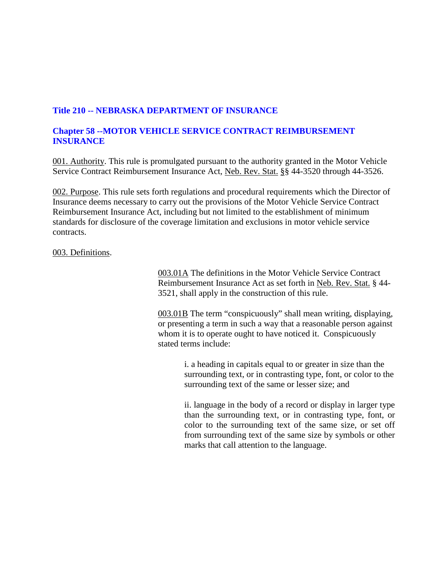## **Title 210 -- NEBRASKA DEPARTMENT OF INSURANCE**

## **Chapter 58 --MOTOR VEHICLE SERVICE CONTRACT REIMBURSEMENT INSURANCE**

001. Authority. This rule is promulgated pursuant to the authority granted in the Motor Vehicle Service Contract Reimbursement Insurance Act, Neb. Rev. Stat. §§ 44-3520 through 44-3526.

002. Purpose. This rule sets forth regulations and procedural requirements which the Director of Insurance deems necessary to carry out the provisions of the Motor Vehicle Service Contract Reimbursement Insurance Act, including but not limited to the establishment of minimum standards for disclosure of the coverage limitation and exclusions in motor vehicle service contracts.

003. Definitions.

003.01A The definitions in the Motor Vehicle Service Contract Reimbursement Insurance Act as set forth in Neb. Rev. Stat. § 44- 3521, shall apply in the construction of this rule.

003.01B The term "conspicuously" shall mean writing, displaying, or presenting a term in such a way that a reasonable person against whom it is to operate ought to have noticed it. Conspicuously stated terms include:

> i. a heading in capitals equal to or greater in size than the surrounding text, or in contrasting type, font, or color to the surrounding text of the same or lesser size; and

> ii. language in the body of a record or display in larger type than the surrounding text, or in contrasting type, font, or color to the surrounding text of the same size, or set off from surrounding text of the same size by symbols or other marks that call attention to the language.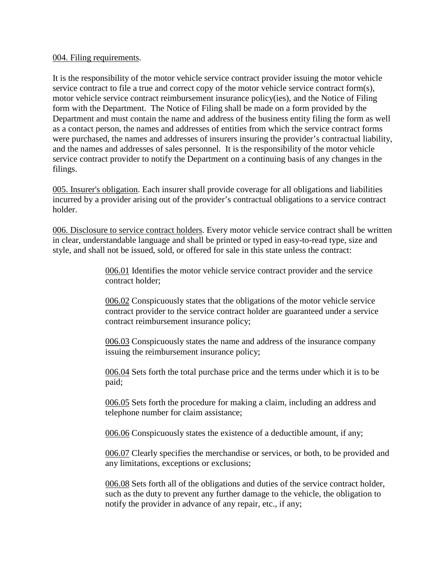## 004. Filing requirements.

It is the responsibility of the motor vehicle service contract provider issuing the motor vehicle service contract to file a true and correct copy of the motor vehicle service contract form(s), motor vehicle service contract reimbursement insurance policy(ies), and the Notice of Filing form with the Department. The Notice of Filing shall be made on a form provided by the Department and must contain the name and address of the business entity filing the form as well as a contact person, the names and addresses of entities from which the service contract forms were purchased, the names and addresses of insurers insuring the provider's contractual liability, and the names and addresses of sales personnel. It is the responsibility of the motor vehicle service contract provider to notify the Department on a continuing basis of any changes in the filings.

005. Insurer's obligation. Each insurer shall provide coverage for all obligations and liabilities incurred by a provider arising out of the provider's contractual obligations to a service contract holder.

006. Disclosure to service contract holders. Every motor vehicle service contract shall be written in clear, understandable language and shall be printed or typed in easy-to-read type, size and style, and shall not be issued, sold, or offered for sale in this state unless the contract:

> 006.01 Identifies the motor vehicle service contract provider and the service contract holder;

006.02 Conspicuously states that the obligations of the motor vehicle service contract provider to the service contract holder are guaranteed under a service contract reimbursement insurance policy;

006.03 Conspicuously states the name and address of the insurance company issuing the reimbursement insurance policy;

006.04 Sets forth the total purchase price and the terms under which it is to be paid;

006.05 Sets forth the procedure for making a claim, including an address and telephone number for claim assistance;

006.06 Conspicuously states the existence of a deductible amount, if any;

006.07 Clearly specifies the merchandise or services, or both, to be provided and any limitations, exceptions or exclusions;

006.08 Sets forth all of the obligations and duties of the service contract holder, such as the duty to prevent any further damage to the vehicle, the obligation to notify the provider in advance of any repair, etc., if any;